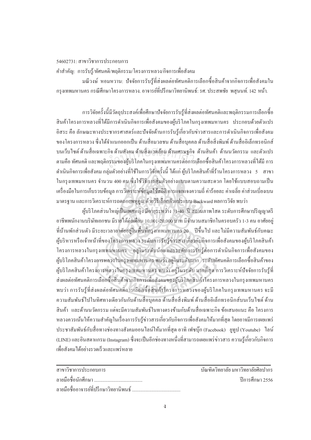## 54602731: สาขาวิชาการประกอบการ

้คำสำคัญ: การรับรู้/ทัศนคติ/พฤติกรรม/โครงการหลวง/กิจการเพื่อสังคม

้มณีวงษ์ หอมหวาน: ปัจจัยการรับรู้ที่ส่งผลต่อทัศนคติการเลือกซื้อสินค้าจากกิจการเพื่อสังคมใน ้ กรงเทพมหานคร กรณีศึกษาโครงการหลวง. อาจารย์ที่ปรึกษาวิทยานิพนธ์: รศ. ประสพชัย พสนนท์. 142 หน้า.

ี การวิจัยครั้งนี้มีวัตถประสงค์เพื่อศึกษาปัจจัยการรับร้ที่ส่งผลต่อทัศนคติและพถติกรรมการเลือกซื้อ ้สินค้าโครงการหลวงที่ได้มีการดำเนินกิจการเพื่อสังคมของผู้บริโภคในกรุงเทพมหานคร ประกอบด้วยตัวแปร ้ อิสระ คือ ลักษณะทางประชากรศาสตร์และปัจจัยด้านการรับร้เกี่ยวกับข่าวสารและการดำเนินกิจการเพื่อสังคม ของโครงการหลวง ซึ่งได้จำแนกออกเป็น ด้านสื่อมวลชน ด้านสื่อบคคล ด้านสื่อสิ่งพิมพ์ ด้านสื่ออิเล็กทรอนิกส์ ึบนเว็บไซต์ ด้านสื่อเฉพาะกิจ ด้านสังคม ด้านสิ่งแวดล้อม ด้านเศรษฐกิจ ด้านสินค้า ด้านนวัตกรรม และตัวแปร ตามคือ ทัศนคติ และพฤติกรรมของผู้บริโภคในกรุงเทพมหานครต่อการเลือกซื้อสินค้าโครงการหลวงที่ได้มี การ ี คำเนินกิจการเพื่อสังคม กลุ่มตัวอย่างที่ใช้ในการวิจัยครั้งนี้ ได้แก่ ผู้บริโภคสินค้าที่ร้านโครงการหลวง 5 สาขา ในกรงเทพมหานคร จำนวน 400 คน ซึ่งใช้วิธีการส่มตัวอย่างแบบตามความสะดวก โดยใช้แบบสอบถามเป็น ้เครื่องมือในการเก็บรวบข้อมูล การวิเคราะห์ข้อมูลใช้สถิติ การแจกแจงความถี่ ค่าร้อยละ ค่าเฉลี่ย ค่าส่วนเบี่ยงเบน มาตรฐาน และการวิเคราะห์การถดถอยพหฺคูณ ด้วยวิธีเลือกตัวแปรแบบ Backward ผลการวิจัย พบว่า

ผู้บริโภคส่วนใหญ่เป็นเพศหญิง มีอายุระหว่าง 31-40 ปี สถานภาพโสด ระดับการศึกษาปริญญาตรี อาชีพพนักงานบริษัทเอกชน มีรายได้ต่อเดือน 10,001-20,000 บาท มีจำนวนสมาชิกในครอบครัว 1-3 คน อาศัยอยู่ ที่บ้านพักส่วนตัว มีระยะเวลาอาศัยอยู่ในพื้นที่กรุงเทพมหานคร 20 ปีจึ้นไป และไม่มีความสัมพันธ์กับคณะ ผู้บริหารหรือเจ้าหน้าที่ของโครงการหลวง ระดับการรับรู้ข่าวสารเกี่ยวกับกิจการเพื่อสังคมของผู้บริโภคสินค้า โครงการหลวงในกรุงเทพมหานคร อยู่ในระดับน้อย และระดับการรับรู้ต่อการดำเนินกิจการเพื่อสังคมของ ผู้บริโภคสินค้าโครงการหลวงในกรุงเทพมหานคร พบว่า อยู่ในระดับมาก ระดับทัศนคติการเลือกซื้อสินค้าของ ผู้บริโภคสินค้าโครงการหลวงในกรุงเทพมหานคร พบว่า อยู่ในระดับ มากที่สุด การวิเคราะห์ปัจจัยการรับรู้ที่ ส่งผลต่อทัศนคติการเลือกซื้อสินค้าจากกิจการเพื่อสังคมของผู้บริโภคสินค้าโครงการหลวงในกรุงเทพมหานคร ี พบว่า การรับรู้ที่ส่งผลต่อทัศนคติการเลือกซื้อสินค้าโครงการหลวงของผู้บริโภคในกรุงเทพมหานคร จะมี ้ความสัมพันธ์ไปในทิศทางเดียวกันกับด้านสื่อบุคคล ด้านสื่อสิ่งพิมพ์ ด้านสื่ออิเล็กทรอนิกส์บนเว็บไซต์ ด้าน ้สินค้ำ และด้านนวัตกรรม แต่จะมีความสัมพันธ์ในทางตรงข้ามกับด้านสื่อเฉพาะกิจ ข้อเสนอแนะ คือ โครงการ ่ หลวงควรเน้นให้ความสำคัญในเรื่องการรับรู้ข่าวสารเกี่ยวกับกิจการเพื่อสังคมให้มากที่สุด โดยอาจมีการเผยแพร่ ประชาสัมพันธ์กับสื่อทางช่องทางสังคมออนใลน์ให้มากที่สุด อาทิ เฟซบุ๊ก (Facebook) ยูทูป (Youtube) ใลน์ (LINE) และอินสตาแกรม (Instagram) ซึ่งจะเป็นอีกช่องทางหนึ่งที่สามารถเผยแพร่ข่าวสาร ความรู้เกี่ยวกับกิจการ เพื่อสังคมได้อย่างรวดเร็วและแพร่หลาย

| สาขาวิชาการประกอบการ                    | ้ บัณฑิตวิทยาลัย มหาวิทยาลัยศิลปากร |
|-----------------------------------------|-------------------------------------|
| ิ ลายมือชื่อนักศึกษา                    | ์ ปีการศึกษา 2556                   |
| ิ ลายบืดชื่ออาจารย์ที่เรือนาวิทยาบิพบธ์ |                                     |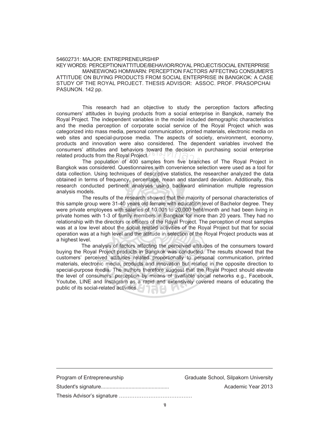## 54602731: MAJOR: ENTREPRENEURSHIP

KEY WORDS: PERCEPTION/ATTITUDE/BEHAVIOR/ROYAL PROJECT/SOCIAL ENTERPRISE MANEEWONG HOMWARN: PERCEPTION FACTORS AFFECTING CONSUMER'S ATTITUDE ON BUYING PRODUCTS FROM SOCIAL ENTERPRISE IN BANGKOK: A CASE STUDY OF THE ROYAL PROJECT. THESIS ADVISOR: ASSOC. PROF. PRASOPCHAI PASUNON. 142 pp.

This research had an objective to study the perception factors affecting consumers' attitudes in buying products from a social enterprise in Bangkok, namely the Royal Project. The independent variables in the model included demographic characteristics and the media perception of corporate social service of the Royal Project which was categorized into mass media, personal communication, printed materials, electronic media on web sites and special-purpose media. The aspects of society, environment, economy, products and innovation were also considered. The dependent variables involved the consumers' attitudes and behaviors toward the decision in purchasing social enterprise related products from the Royal Project. attitudes and behaviors toward the decision in purchasing social enterprise<br>ducts from the Royal Project. 61 of 12 page of The Royal Project in<br>The population of 400 samples from five branches of The Royal Project in and behaviors toward<br>the Royal Project.<br>lation of 400 samples f

Bangkok was considered. Questionnaires with convenience selection were used as a tool for data collection. Using techniques of descriptive statistics, the researcher analyzed the data obtained in terms of frequency, percentage, mean and standard deviation. Additionally, this research conducted pertinent analyses using backward elimination multiple regression analysis models.

The results of the research showed that the majority of personal characteristics of this sample group were 31-40 years old female with education level of Bachelor degree. They were private employees with salaries of 10,001 to 20,000 baht/month and had been living in private homes with 1-3 of family members in Bangkok for more than 20 years. They had no relationship with the directors or officers of the Royal Project. The perception of most samples was at a low level about the social related activities of the Royal Project but that for social operation was at a high level and the attitude in selection of the Royal Project products was at a highest level.

 The analysis of factors affecting the perceived attitudes of the consumers toward buying the Royal Project products in Bangkok was conducted. The results showed that the customers' perceived attitudes related proportionally to personal communication, printed materials, electronic media, products and innovation but related in the opposite direction to special-purpose media. The authors therefore suggest that the Royal Project should elevate the level of consumers' perception by means of available social networks e.g., Facebook, Youtube, LINE and Instagram as a rapid and extensively covered means of educating the public of its social-related activities.

| Program of Entrepreneurship | Graduate School, Silpakorn University |
|-----------------------------|---------------------------------------|
|                             | Academic Year 2013                    |
|                             |                                       |